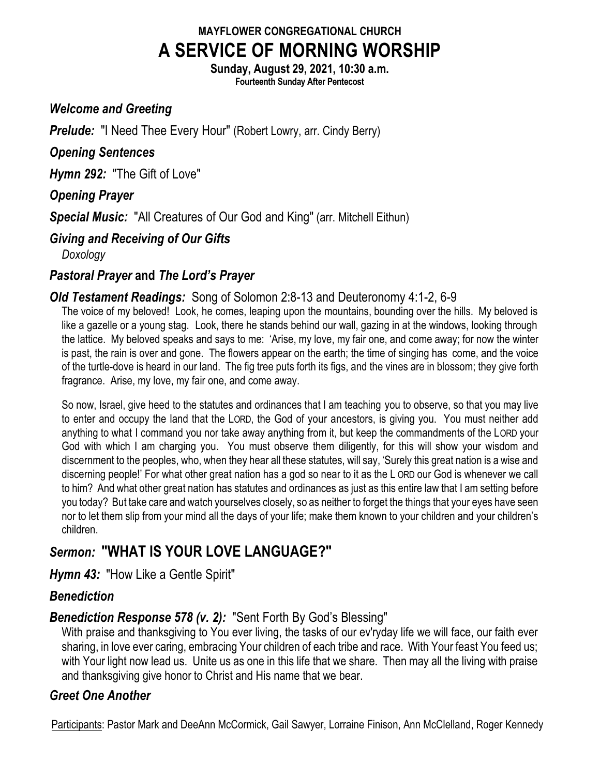# **MAYFLOWER CONGREGATIONAL CHURCH A SERVICE OF MORNING WORSHIP**

**Sunday, August 29, 2021, 10:30 a.m. Fourteenth Sunday After Pentecost**

#### *Welcome and Greeting*

*Prelude:* "I Need Thee Every Hour" (Robert Lowry, arr. Cindy Berry)

#### *Opening Sentences*

*Hymn 292:* "The Gift of Love"

#### *Opening Prayer*

*Special Music:* "All Creatures of Our God and King" (arr. Mitchell Eithun)

#### *Giving and Receiving of Our Gifts*

*Doxology*

#### *Pastoral Prayer* **and** *The Lord's Prayer*

#### *Old Testament Readings:* Song of Solomon 2:8-13 and Deuteronomy 4:1-2, 6-9

The voice of my beloved! Look, he comes, leaping upon the mountains, bounding over the hills. My beloved is like a gazelle or a young stag. Look, there he stands behind our wall, gazing in at the windows, looking through the lattice. My beloved speaks and says to me: 'Arise, my love, my fair one, and come away; for now the winter is past, the rain is over and gone. The flowers appear on the earth; the time of singing has come, and the voice of the turtle-dove is heard in our land. The fig tree puts forth its figs, and the vines are in blossom; they give forth fragrance. Arise, my love, my fair one, and come away.

So now, Israel, give heed to the statutes and ordinances that I am teaching you to observe, so that you may live to enter and occupy the land that the LORD, the God of your ancestors, is giving you. You must neither add anything to what I command you nor take away anything from it, but keep the commandments of the LORD your God with which I am charging you. You must observe them diligently, for this will show your wisdom and discernment to the peoples, who, when they hear all these statutes, will say, 'Surely this great nation is a wise and discerning people!' For what other great nation has a god so near to it as the L ORD our God is whenever we call to him? And what other great nation has statutes and ordinances as just as this entire law that I am setting before you today? But take care and watch yourselves closely, so as neither to forget the things that your eyes have seen nor to let them slip from your mind all the days of your life; make them known to your children and your children's children.

# *Sermon:* **"WHAT IS YOUR LOVE LANGUAGE?"**

*Hymn 43:* "How Like a Gentle Spirit"

#### *Benediction*

## *Benediction Response 578 (v. 2):* "Sent Forth By God's Blessing"

With praise and thanksgiving to You ever living, the tasks of our ev'ryday life we will face, our faith ever sharing, in love ever caring, embracing Your children of each tribe and race. With Your feast You feed us; with Your light now lead us. Unite us as one in this life that we share. Then may all the living with praise and thanksgiving give honor to Christ and His name that we bear.

### *Greet One Another*

Participants: Pastor Mark and DeeAnn McCormick, Gail Sawyer, Lorraine Finison, Ann McClelland, Roger Kennedy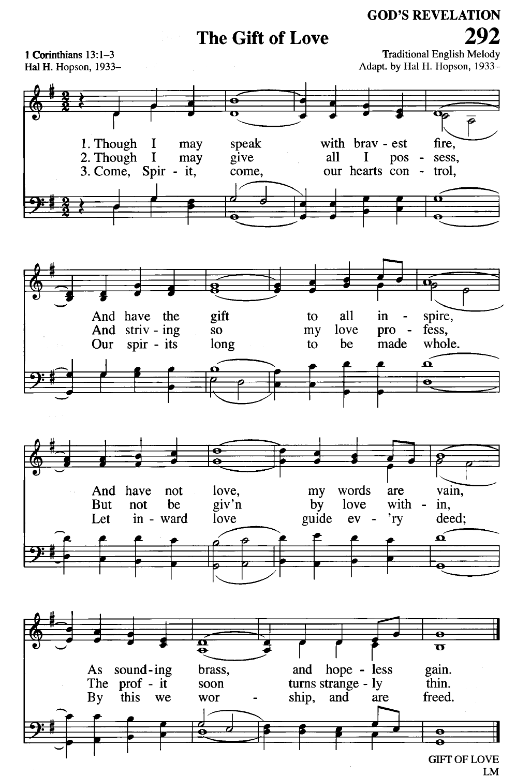## The Gift of Love

**Traditional English Melody** 1 Corinthians 13:1-3 Adapt. by Hal H. Hopson, 1933-Hal H. Hopson, 1933-P 1. Though I speak with brav - est fire, may  $\mathbf I$ 2. Though give all  $\bf{I}$ pos sess, may  $\blacksquare$ 3. Come, Spir - it, our hearts con trol, come,  $\sim$ σ gift spire, And have the all to in And striv - ing fess, **SO** my love pro  $\overline{\phantom{a}}$ be made whole. Our spir - its long to  $\tilde{\mathbf{p}}$  $\overline{\bullet}$ vain, And have not love, my words are **But** not be giv'n by love with in,  $\overline{\phantom{a}}$ Let in - ward love guide  $ev$  $r<sub>Y</sub>$ deed;  $\hat{\mathbf{a}}$  $\overline{\bullet}$  $\boldsymbol{\Phi}$  $\overline{\mathbf{u}}$ hope - less sound-ing and gain. As brass, turns strange - ly The prof - it thin. soon freed. By this we wor ship, and are е  $\overline{\bullet}$ 

292

**GOD'S REVELATION** 

**GIFT OF LOVE** LM